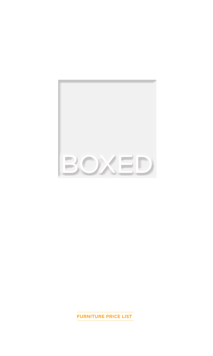

**FURNITURE PRICE LIST**